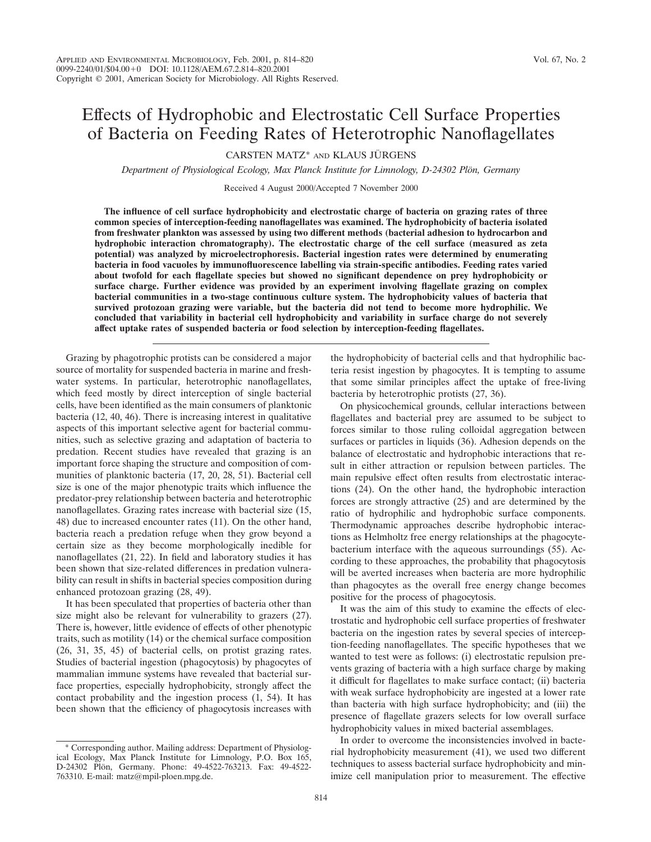# Effects of Hydrophobic and Electrostatic Cell Surface Properties of Bacteria on Feeding Rates of Heterotrophic Nanoflagellates

CARSTEN MATZ<sup>\*</sup> AND KLAUS JÜRGENS

Department of Physiological Ecology, Max Planck Institute for Limnology, D-24302 Plön, Germany

Received 4 August 2000/Accepted 7 November 2000

**The influence of cell surface hydrophobicity and electrostatic charge of bacteria on grazing rates of three common species of interception-feeding nanoflagellates was examined. The hydrophobicity of bacteria isolated from freshwater plankton was assessed by using two different methods (bacterial adhesion to hydrocarbon and hydrophobic interaction chromatography). The electrostatic charge of the cell surface (measured as zeta potential) was analyzed by microelectrophoresis. Bacterial ingestion rates were determined by enumerating bacteria in food vacuoles by immunofluorescence labelling via strain-specific antibodies. Feeding rates varied about twofold for each flagellate species but showed no significant dependence on prey hydrophobicity or surface charge. Further evidence was provided by an experiment involving flagellate grazing on complex bacterial communities in a two-stage continuous culture system. The hydrophobicity values of bacteria that survived protozoan grazing were variable, but the bacteria did not tend to become more hydrophilic. We concluded that variability in bacterial cell hydrophobicity and variability in surface charge do not severely affect uptake rates of suspended bacteria or food selection by interception-feeding flagellates.**

Grazing by phagotrophic protists can be considered a major source of mortality for suspended bacteria in marine and freshwater systems. In particular, heterotrophic nanoflagellates, which feed mostly by direct interception of single bacterial cells, have been identified as the main consumers of planktonic bacteria (12, 40, 46). There is increasing interest in qualitative aspects of this important selective agent for bacterial communities, such as selective grazing and adaptation of bacteria to predation. Recent studies have revealed that grazing is an important force shaping the structure and composition of communities of planktonic bacteria (17, 20, 28, 51). Bacterial cell size is one of the major phenotypic traits which influence the predator-prey relationship between bacteria and heterotrophic nanoflagellates. Grazing rates increase with bacterial size (15, 48) due to increased encounter rates (11). On the other hand, bacteria reach a predation refuge when they grow beyond a certain size as they become morphologically inedible for nanoflagellates (21, 22). In field and laboratory studies it has been shown that size-related differences in predation vulnerability can result in shifts in bacterial species composition during enhanced protozoan grazing (28, 49).

It has been speculated that properties of bacteria other than size might also be relevant for vulnerability to grazers (27). There is, however, little evidence of effects of other phenotypic traits, such as motility (14) or the chemical surface composition (26, 31, 35, 45) of bacterial cells, on protist grazing rates. Studies of bacterial ingestion (phagocytosis) by phagocytes of mammalian immune systems have revealed that bacterial surface properties, especially hydrophobicity, strongly affect the contact probability and the ingestion process (1, 54). It has been shown that the efficiency of phagocytosis increases with

the hydrophobicity of bacterial cells and that hydrophilic bacteria resist ingestion by phagocytes. It is tempting to assume that some similar principles affect the uptake of free-living bacteria by heterotrophic protists (27, 36).

On physicochemical grounds, cellular interactions between flagellates and bacterial prey are assumed to be subject to forces similar to those ruling colloidal aggregation between surfaces or particles in liquids (36). Adhesion depends on the balance of electrostatic and hydrophobic interactions that result in either attraction or repulsion between particles. The main repulsive effect often results from electrostatic interactions (24). On the other hand, the hydrophobic interaction forces are strongly attractive (25) and are determined by the ratio of hydrophilic and hydrophobic surface components. Thermodynamic approaches describe hydrophobic interactions as Helmholtz free energy relationships at the phagocytebacterium interface with the aqueous surroundings (55). According to these approaches, the probability that phagocytosis will be averted increases when bacteria are more hydrophilic than phagocytes as the overall free energy change becomes positive for the process of phagocytosis.

It was the aim of this study to examine the effects of electrostatic and hydrophobic cell surface properties of freshwater bacteria on the ingestion rates by several species of interception-feeding nanoflagellates. The specific hypotheses that we wanted to test were as follows: (i) electrostatic repulsion prevents grazing of bacteria with a high surface charge by making it difficult for flagellates to make surface contact; (ii) bacteria with weak surface hydrophobicity are ingested at a lower rate than bacteria with high surface hydrophobicity; and (iii) the presence of flagellate grazers selects for low overall surface hydrophobicity values in mixed bacterial assemblages.

In order to overcome the inconsistencies involved in bacterial hydrophobicity measurement (41), we used two different techniques to assess bacterial surface hydrophobicity and minimize cell manipulation prior to measurement. The effective

<sup>\*</sup> Corresponding author. Mailing address: Department of Physiological Ecology, Max Planck Institute for Limnology, P.O. Box 165, D-24302 Plön, Germany. Phone: 49-4522-763213. Fax: 49-4522-763310. E-mail: matz@mpil-ploen.mpg.de.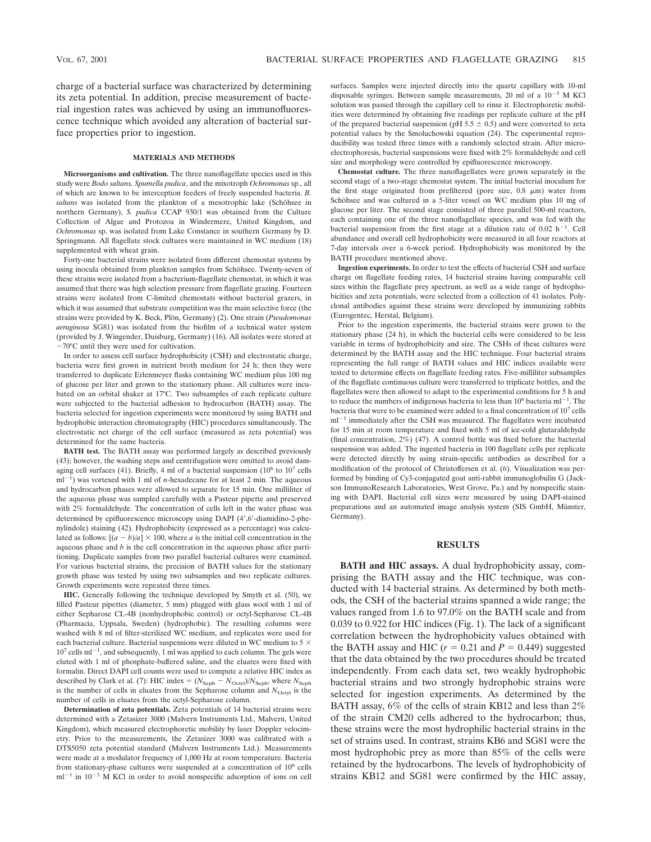charge of a bacterial surface was characterized by determining its zeta potential. In addition, precise measurement of bacterial ingestion rates was achieved by using an immunofluorescence technique which avoided any alteration of bacterial surface properties prior to ingestion.

#### **MATERIALS AND METHODS**

**Microorganisms and cultivation.** The three nanoflagellate species used in this study were *Bodo saltans, Spumella pudica*, and the mixotroph *Ochromonas* sp., all of which are known to be interception feeders of freely suspended bacteria. *B.* saltans was isolated from the plankton of a mesotrophic lake (Schöhsee in northern Germany), *S. pudica* CCAP 930/1 was obtained from the Culture Collection of Algae and Protozoa in Windermere, United Kingdom, and *Ochromonas* sp. was isolated from Lake Constance in southern Germany by D. Springmann. All flagellate stock cultures were maintained in WC medium (18) supplemented with wheat grain.

Forty-one bacterial strains were isolated from different chemostat systems by using inocula obtained from plankton samples from Schöhsee. Twenty-seven of these strains were isolated from a bacterium-flagellate chemostat, in which it was assumed that there was high selection pressure from flagellate grazing. Fourteen strains were isolated from C-limited chemostats without bacterial grazers, in which it was assumed that substrate competition was the main selective force (the strains were provided by K. Beck, Plön, Germany) (2). One strain (*Pseudomonas aeruginosa* SG81) was isolated from the biofilm of a technical water system (provided by J. Wingender, Duisburg, Germany) (16). All isolates were stored at 270°C until they were used for cultivation.

In order to assess cell surface hydrophobicity (CSH) and electrostatic charge, bacteria were first grown in nutrient broth medium for 24 h; then they were transferred to duplicate Erlenmeyer flasks containing WC medium plus 100 mg of glucose per liter and grown to the stationary phase. All cultures were incubated on an orbital shaker at 17°C. Two subsamples of each replicate culture were subjected to the bacterial adhesion to hydrocarbon (BATH) assay. The bacteria selected for ingestion experiments were monitored by using BATH and hydrophobic interaction chromatography (HIC) procedures simultaneously. The electrostatic net charge of the cell surface (measured as zeta potential) was determined for the same bacteria.

**BATH test.** The BATH assay was performed largely as described previously (43); however, the washing steps and centrifugation were omitted to avoid damaging cell surfaces (41). Briefly, 4 ml of a bacterial suspension  $(10^6$  to  $10^7$  cells  $ml^{-1}$ ) was vortexed with 1 ml of *n*-hexadecane for at least 2 min. The aqueous and hydrocarbon phases were allowed to separate for 15 min. One milliliter of the aqueous phase was sampled carefully with a Pasteur pipette and preserved with 2% formaldehyde. The concentration of cells left in the water phase was determined by epifluorescence microscopy using DAPI (4',6'-diamidino-2-phenylindole) staining (42). Hydrophobicity (expressed as a percentage) was calculated as follows:  $[(a - b)/a] \times 100$ , where *a* is the initial cell concentration in the aqueous phase and *b* is the cell concentration in the aqueous phase after partitioning. Duplicate samples from two parallel bacterial cultures were examined. For various bacterial strains, the precision of BATH values for the stationary growth phase was tested by using two subsamples and two replicate cultures. Growth experiments were repeated three times.

**HIC.** Generally following the technique developed by Smyth et al. (50), we filled Pasteur pipettes (diameter, 5 mm) plugged with glass wool with 1 ml of either Sepharose CL-4B (nonhydrophobic control) or octyl-Sepharose CL-4B (Pharmacia, Uppsala, Sweden) (hydrophobic). The resulting columns were washed with 8 ml of filter-sterilized WC medium, and replicates were used for each bacterial culture. Bacterial suspensions were diluted in WC medium to  $5 \times$  $10^7$  cells ml<sup>-1</sup>, and subsequently, 1 ml was applied to each column. The gels were eluted with 1 ml of phosphate-buffered saline, and the eluates were fixed with formalin. Direct DAPI cell counts were used to compute a relative HIC index as described by Clark et al. (7): HIC index =  $(N_{\text{Seph}} - N_{\text{Octyl}})/N_{\text{Seph}}$ , where  $N_{\text{Seph}}$ is the number of cells in eluates from the Sepharose column and  $N_{\text{Octyl}}$  is the number of cells in eluates from the octyl-Sepharose column.

**Determination of zeta potentials.** Zeta potentials of 14 bacterial strains were determined with a Zetasizer 3000 (Malvern Instruments Ltd., Malvern, United Kingdom), which measured electrophoretic mobility by laser Doppler velocimetry. Prior to the measurements, the Zetasizer 3000 was calibrated with a DTS5050 zeta potential standard (Malvern Instruments Ltd.). Measurements were made at a modulator frequency of 1,000 Hz at room temperature. Bacteria from stationary-phase cultures were suspended at a concentration of  $10<sup>6</sup>$  cells  $ml^{-1}$  in  $10^{-3}$  M KCl in order to avoid nonspecific adsorption of ions on cell surfaces. Samples were injected directly into the quartz capillary with 10-ml disposable syringes. Between sample measurements, 20 ml of a  $10^{-3}$  M KCl solution was passed through the capillary cell to rinse it. Electrophoretic mobilities were determined by obtaining five readings per replicate culture at the pH of the prepared bacterial suspension (pH 5.5  $\pm$  0.5) and were converted to zeta potential values by the Smoluchowski equation (24). The experimental reproducibility was tested three times with a randomly selected strain. After microelectrophoresis, bacterial suspensions were fixed with 2% formaldehyde and cell size and morphology were controlled by epifluorescence microscopy.

**Chemostat culture.** The three nanoflagellates were grown separately in the second stage of a two-stage chemostat system. The initial bacterial inoculum for the first stage originated from prefiltered (pore size,  $0.8 \mu m$ ) water from Schöhsee and was cultured in a 5-liter vessel on WC medium plus 10 mg of glucose per liter. The second stage consisted of three parallel 500-ml reactors, each containing one of the three nanoflagellate species, and was fed with the bacterial suspension from the first stage at a dilution rate of  $0.02 \; h^{-1}$ . Cell abundance and overall cell hydrophobicity were measured in all four reactors at 7-day intervals over a 6-week period. Hydrophobicity was monitored by the BATH procedure mentioned above.

**Ingestion experiments.** In order to test the effects of bacterial CSH and surface charge on flagellate feeding rates, 14 bacterial strains having comparable cell sizes within the flagellate prey spectrum, as well as a wide range of hydrophobicities and zeta potentials, were selected from a collection of 41 isolates. Polyclonal antibodies against these strains were developed by immunizing rabbits (Eurogentec, Herstal, Belgium).

Prior to the ingestion experiments, the bacterial strains were grown to the stationary phase (24 h), in which the bacterial cells were considered to be less variable in terms of hydrophobicity and size. The CSHs of these cultures were determined by the BATH assay and the HIC technique. Four bacterial strains representing the full range of BATH values and HIC indices available were tested to determine effects on flagellate feeding rates. Five-milliliter subsamples of the flagellate continuous culture were transferred to triplicate bottles, and the flagellates were then allowed to adapt to the experimental conditions for 5 h and to reduce the numbers of indigenous bacteria to less than  $10^6$  bacteria ml<sup>-1</sup>. The bacteria that were to be examined were added to a final concentration of  $10<sup>7</sup>$  cells  $ml^{-1}$  immediately after the CSH was measured. The flagellates were incubated for 15 min at room temperature and fixed with 5 ml of ice-cold glutaraldehyde (final concentration, 2%) (47). A control bottle was fixed before the bacterial suspension was added. The ingested bacteria in 100 flagellate cells per replicate were detected directly by using strain-specific antibodies as described for a modification of the protocol of Christoffersen et al. (6). Visualization was performed by binding of Cy3-conjugated goat anti-rabbit immunoglobulin G (Jackson ImmunoResearch Laboratories, West Grove, Pa.) and by nonspecific staining with DAPI. Bacterial cell sizes were measured by using DAPI-stained preparations and an automated image analysis system (SIS GmbH, Münster, Germany).

## **RESULTS**

**BATH and HIC assays.** A dual hydrophobicity assay, comprising the BATH assay and the HIC technique, was conducted with 14 bacterial strains. As determined by both methods, the CSH of the bacterial strains spanned a wide range; the values ranged from 1.6 to 97.0% on the BATH scale and from 0.039 to 0.922 for HIC indices (Fig. 1). The lack of a significant correlation between the hydrophobicity values obtained with the BATH assay and HIC  $(r = 0.21$  and  $P = 0.449)$  suggested that the data obtained by the two procedures should be treated independently. From each data set, two weakly hydrophobic bacterial strains and two strongly hydrophobic strains were selected for ingestion experiments. As determined by the BATH assay, 6% of the cells of strain KB12 and less than 2% of the strain CM20 cells adhered to the hydrocarbon; thus, these strains were the most hydrophilic bacterial strains in the set of strains used. In contrast, strains KB6 and SG81 were the most hydrophobic prey as more than 85% of the cells were retained by the hydrocarbons. The levels of hydrophobicity of strains KB12 and SG81 were confirmed by the HIC assay,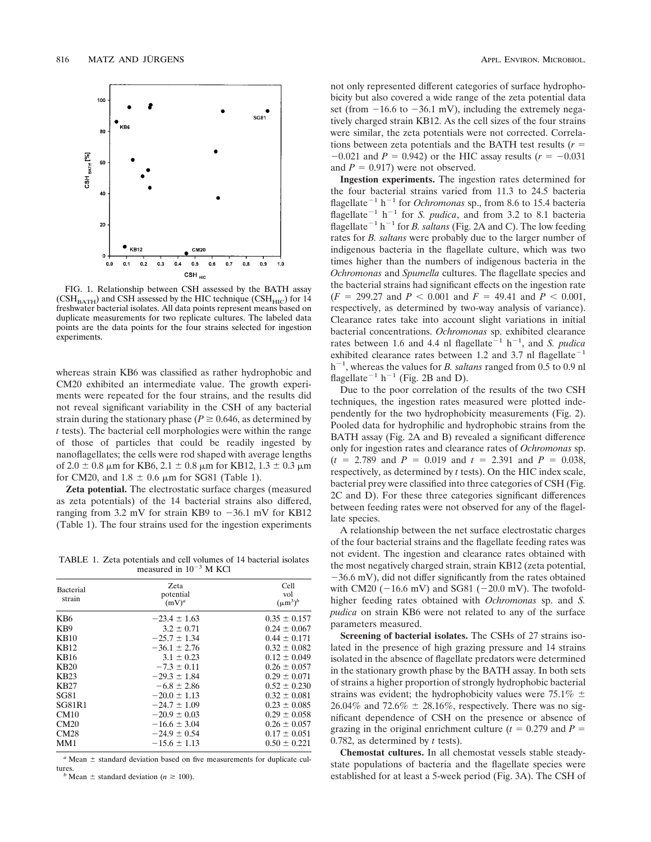

FIG. 1. Relationship between CSH assessed by the BATH assay  $(CSH<sub>BATH</sub>)$  and CSH assessed by the HIC technique  $(CSH<sub>HHC</sub>)$  for 14 freshwater bacterial isolates. All data points represent means based on duplicate measurements for two replicate cultures. The labeled data points are the data points for the four strains selected for ingestion experiments.

whereas strain KB6 was classified as rather hydrophobic and CM20 exhibited an intermediate value. The growth experiments were repeated for the four strains, and the results did not reveal significant variability in the CSH of any bacterial strain during the stationary phase ( $P \ge 0.646$ , as determined by *t* tests). The bacterial cell morphologies were within the range of those of particles that could be readily ingested by nanoflagellates; the cells were rod shaped with average lengths of 2.0  $\pm$  0.8  $\mu$ m for KB6, 2.1  $\pm$  0.8  $\mu$ m for KB12, 1.3  $\pm$  0.3  $\mu$ m for CM20, and  $1.8 \pm 0.6$  µm for SG81 (Table 1).

**Zeta potential.** The electrostatic surface charges (measured as zeta potentials) of the 14 bacterial strains also differed, ranging from 3.2 mV for strain KB9 to  $-36.1$  mV for KB12 (Table 1). The four strains used for the ingestion experiments

TABLE 1. Zeta potentials and cell volumes of 14 bacterial isolates measured in  $10^{-3}$  M KCl

| Bacterial<br>strain | Zeta<br>potential<br>$(mV)^a$ | Cell<br>vol<br>$(\mu m^3)^b$ |
|---------------------|-------------------------------|------------------------------|
| KB <sub>6</sub>     | $-23.4 \pm 1.63$              | $0.35 \pm 0.157$             |
| K <sub>B</sub> 9    | $3.2 \pm 0.71$                | $0.24 \pm 0.067$             |
| <b>KB10</b>         | $-25.7 \pm 1.34$              | $0.44 \pm 0.171$             |
| KB12                | $-36.1 \pm 2.76$              | $0.32 \pm 0.082$             |
| <b>KB16</b>         | $3.1 \pm 0.23$                | $0.12 \pm 0.049$             |
| KB <sub>20</sub>    | $-7.3 \pm 0.11$               | $0.26 \pm 0.057$             |
| <b>KB23</b>         | $-29.3 \pm 1.84$              | $0.29 \pm 0.071$             |
| KB27                | $-6.8 \pm 2.86$               | $0.52 \pm 0.230$             |
| <b>SG81</b>         | $-20.0 \pm 1.13$              | $0.32 \pm 0.081$             |
| <b>SG81R1</b>       | $-24.7 \pm 1.09$              | $0.23 \pm 0.085$             |
| CM10                | $-20.9 \pm 0.03$              | $0.29 \pm 0.058$             |
| CM20                | $-16.6 \pm 3.04$              | $0.26 \pm 0.057$             |
| CM28                | $-24.9 \pm 0.54$              | $0.17 \pm 0.051$             |
| MM1                 | $-15.6 \pm 1.13$              | $0.50 \pm 0.221$             |
|                     |                               |                              |

 $a$  Mean  $\pm$  standard deviation based on five measurements for duplicate cultures.<br>*b* Mean  $\pm$  standard deviation (*n*  $\geq$  100).

not only represented different categories of surface hydrophobicity but also covered a wide range of the zeta potential data set (from  $-16.6$  to  $-36.1$  mV), including the extremely negatively charged strain KB12. As the cell sizes of the four strains were similar, the zeta potentials were not corrected. Correlations between zeta potentials and the BATH test results  $(r =$  $-0.021$  and  $P = 0.942$ ) or the HIC assay results ( $r = -0.031$ ) and  $P = 0.917$ ) were not observed.

**Ingestion experiments.** The ingestion rates determined for the four bacterial strains varied from 11.3 to 24.5 bacteria flagellate<sup>-1</sup> h<sup>-1</sup> for *Ochromonas* sp., from 8.6 to 15.4 bacteria flagellate<sup> $-1$ </sup> h<sup> $-1$ </sup> for *S. pudica*, and from 3.2 to 8.1 bacteria flagellate<sup>-1</sup> h<sup>-1</sup> for *B. saltans* (Fig. 2A and C). The low feeding rates for *B. saltans* were probably due to the larger number of indigenous bacteria in the flagellate culture, which was two times higher than the numbers of indigenous bacteria in the *Ochromonas* and *Spumella* cultures. The flagellate species and the bacterial strains had significant effects on the ingestion rate  $(F = 299.27 \text{ and } P < 0.001 \text{ and } F = 49.41 \text{ and } P < 0.001,$ respectively, as determined by two-way analysis of variance). Clearance rates take into account slight variations in initial bacterial concentrations. *Ochromonas* sp. exhibited clearance rates between 1.6 and 4.4 nl flagellate<sup> $-1$ </sup> h<sup>-1</sup>, and *S. pudica* exhibited clearance rates between 1.2 and 3.7 nl flagellate<sup> $-1$ </sup>  $h^{-1}$ , whereas the values for *B. saltans* ranged from 0.5 to 0.9 nl flagellate<sup>-1</sup> h<sup>-1</sup> (Fig. 2B and D).

Due to the poor correlation of the results of the two CSH techniques, the ingestion rates measured were plotted independently for the two hydrophobicity measurements (Fig. 2). Pooled data for hydrophilic and hydrophobic strains from the BATH assay (Fig. 2A and B) revealed a significant difference only for ingestion rates and clearance rates of *Ochromonas* sp.  $(t = 2.789$  and  $P = 0.019$  and  $t = 2.391$  and  $P = 0.038$ , respectively, as determined by *t* tests). On the HIC index scale, bacterial prey were classified into three categories of CSH (Fig. 2C and D). For these three categories significant differences between feeding rates were not observed for any of the flagellate species.

A relationship between the net surface electrostatic charges of the four bacterial strains and the flagellate feeding rates was not evident. The ingestion and clearance rates obtained with the most negatively charged strain, strain KB12 (zeta potential,  $-36.6$  mV), did not differ significantly from the rates obtained with CM20 ( $-16.6$  mV) and SG81 ( $-20.0$  mV). The twofoldhigher feeding rates obtained with *Ochromonas* sp. and *S. pudica* on strain KB6 were not related to any of the surface parameters measured.

**Screening of bacterial isolates.** The CSHs of 27 strains isolated in the presence of high grazing pressure and 14 strains isolated in the absence of flagellate predators were determined in the stationary growth phase by the BATH assay. In both sets of strains a higher proportion of strongly hydrophobic bacterial strains was evident; the hydrophobicity values were 75.1%  $\pm$ 26.04% and 72.6%  $\pm$  28.16%, respectively. There was no significant dependence of CSH on the presence or absence of grazing in the original enrichment culture ( $t = 0.279$  and  $P =$ 0.782, as determined by *t* tests).

**Chemostat cultures.** In all chemostat vessels stable steadystate populations of bacteria and the flagellate species were established for at least a 5-week period (Fig. 3A). The CSH of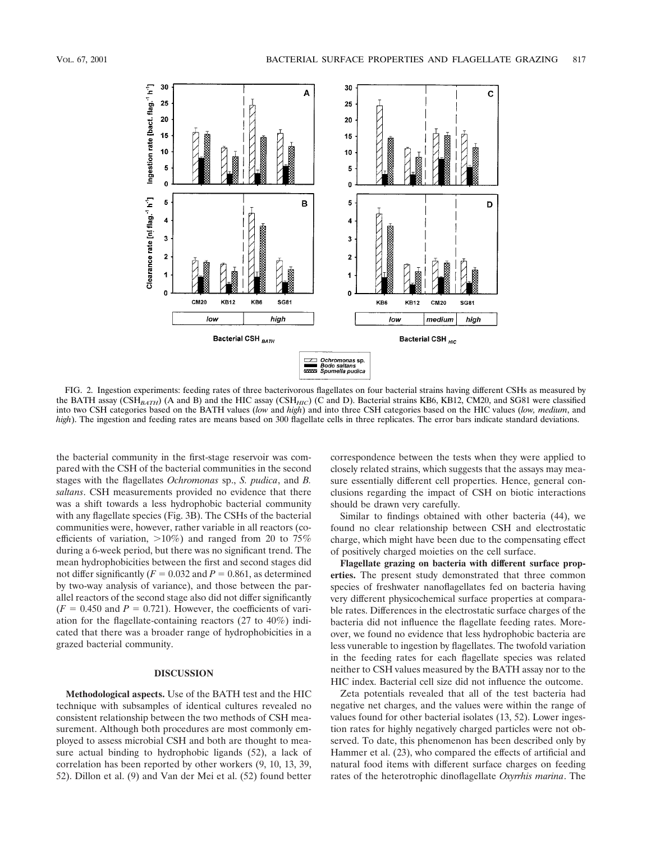

FIG. 2. Ingestion experiments: feeding rates of three bacterivorous flagellates on four bacterial strains having different CSHs as measured by the BATH assay (CSH<sub>BATH</sub>) (A and B) and the HIC assay (CSH<sub>HIC</sub>) (C and D). Bacterial strains KB6, KB12, CM20, and SG81 were classified into two CSH categories based on the BATH values (*low* and *high*) and into three CSH categories based on the HIC values (*low, medium*, and *high*). The ingestion and feeding rates are means based on 300 flagellate cells in three replicates. The error bars indicate standard deviations.

the bacterial community in the first-stage reservoir was compared with the CSH of the bacterial communities in the second stages with the flagellates *Ochromonas* sp., *S. pudica*, and *B. saltans*. CSH measurements provided no evidence that there was a shift towards a less hydrophobic bacterial community with any flagellate species (Fig. 3B). The CSHs of the bacterial communities were, however, rather variable in all reactors (coefficients of variation,  $>10\%$ ) and ranged from 20 to 75% during a 6-week period, but there was no significant trend. The mean hydrophobicities between the first and second stages did not differ significantly  $(F = 0.032$  and  $P = 0.861$ , as determined by two-way analysis of variance), and those between the parallel reactors of the second stage also did not differ significantly  $(F = 0.450$  and  $P = 0.721$ ). However, the coefficients of variation for the flagellate-containing reactors (27 to 40%) indicated that there was a broader range of hydrophobicities in a grazed bacterial community.

# **DISCUSSION**

**Methodological aspects.** Use of the BATH test and the HIC technique with subsamples of identical cultures revealed no consistent relationship between the two methods of CSH measurement. Although both procedures are most commonly employed to assess microbial CSH and both are thought to measure actual binding to hydrophobic ligands (52), a lack of correlation has been reported by other workers (9, 10, 13, 39, 52). Dillon et al. (9) and Van der Mei et al. (52) found better

correspondence between the tests when they were applied to closely related strains, which suggests that the assays may measure essentially different cell properties. Hence, general conclusions regarding the impact of CSH on biotic interactions should be drawn very carefully.

Similar to findings obtained with other bacteria (44), we found no clear relationship between CSH and electrostatic charge, which might have been due to the compensating effect of positively charged moieties on the cell surface.

**Flagellate grazing on bacteria with different surface properties.** The present study demonstrated that three common species of freshwater nanoflagellates fed on bacteria having very different physicochemical surface properties at comparable rates. Differences in the electrostatic surface charges of the bacteria did not influence the flagellate feeding rates. Moreover, we found no evidence that less hydrophobic bacteria are less vunerable to ingestion by flagellates. The twofold variation in the feeding rates for each flagellate species was related neither to CSH values measured by the BATH assay nor to the HIC index. Bacterial cell size did not influence the outcome.

Zeta potentials revealed that all of the test bacteria had negative net charges, and the values were within the range of values found for other bacterial isolates (13, 52). Lower ingestion rates for highly negatively charged particles were not observed. To date, this phenomenon has been described only by Hammer et al. (23), who compared the effects of artificial and natural food items with different surface charges on feeding rates of the heterotrophic dinoflagellate *Oxyrrhis marina*. The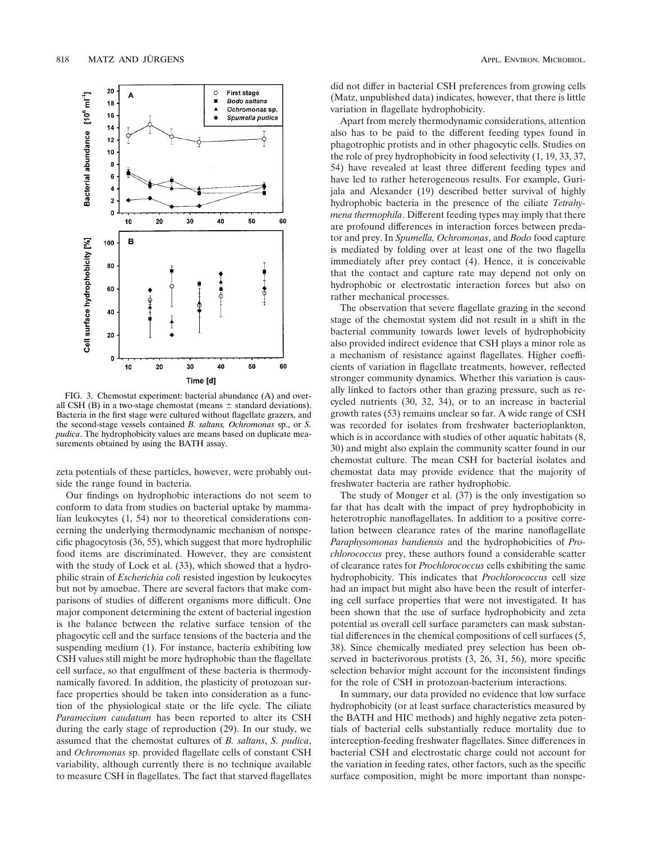

FIG. 3. Chemostat experiment: bacterial abundance (A) and overall CSH (B) in a two-stage chemostat (means  $\pm$  standard deviations). Bacteria in the first stage were cultured without flagellate grazers, and the second-stage vessels contained *B. saltans, Ochromonas* sp., or *S. pudica*. The hydrophobicity values are means based on duplicate measurements obtained by using the BATH assay.

zeta potentials of these particles, however, were probably outside the range found in bacteria.

Our findings on hydrophobic interactions do not seem to conform to data from studies on bacterial uptake by mammalian leukocytes (1, 54) nor to theoretical considerations concerning the underlying thermodynamic mechanism of nonspecific phagocytosis (36, 55), which suggest that more hydrophilic food items are discriminated. However, they are consistent with the study of Lock et al. (33), which showed that a hydrophilic strain of *Escherichia coli* resisted ingestion by leukocytes but not by amoebae. There are several factors that make comparisons of studies of different organisms more difficult. One major component determining the extent of bacterial ingestion is the balance between the relative surface tension of the phagocytic cell and the surface tensions of the bacteria and the suspending medium (1). For instance, bacteria exhibiting low CSH values still might be more hydrophobic than the flagellate cell surface, so that engulfment of these bacteria is thermodynamically favored. In addition, the plasticity of protozoan surface properties should be taken into consideration as a function of the physiological state or the life cycle. The ciliate *Paramecium caudatum* has been reported to alter its CSH during the early stage of reproduction (29). In our study, we assumed that the chemostat cultures of *B. saltans*, *S. pudica*, and *Ochromonas* sp. provided flagellate cells of constant CSH variability, although currently there is no technique available to measure CSH in flagellates. The fact that starved flagellates did not differ in bacterial CSH preferences from growing cells (Matz, unpublished data) indicates, however, that there is little variation in flagellate hydrophobicity.

Apart from merely thermodynamic considerations, attention also has to be paid to the different feeding types found in phagotrophic protists and in other phagocytic cells. Studies on the role of prey hydrophobicity in food selectivity (1, 19, 33, 37, 54) have revealed at least three different feeding types and have led to rather heterogeneous results. For example, Gurijala and Alexander (19) described better survival of highly hydrophobic bacteria in the presence of the ciliate *Tetrahymena thermophila*. Different feeding types may imply that there are profound differences in interaction forces between predator and prey. In *Spumella, Ochromonas*, and *Bodo* food capture is mediated by folding over at least one of the two flagella immediately after prey contact (4). Hence, it is conceivable that the contact and capture rate may depend not only on hydrophobic or electrostatic interaction forces but also on rather mechanical processes.

The observation that severe flagellate grazing in the second stage of the chemostat system did not result in a shift in the bacterial community towards lower levels of hydrophobicity also provided indirect evidence that CSH plays a minor role as a mechanism of resistance against flagellates. Higher coefficients of variation in flagellate treatments, however, reflected stronger community dynamics. Whether this variation is causally linked to factors other than grazing pressure, such as recycled nutrients (30, 32, 34), or to an increase in bacterial growth rates (53) remains unclear so far. A wide range of CSH was recorded for isolates from freshwater bacterioplankton, which is in accordance with studies of other aquatic habitats (8, 30) and might also explain the community scatter found in our chemostat culture. The mean CSH for bacterial isolates and chemostat data may provide evidence that the majority of freshwater bacteria are rather hydrophobic.

The study of Monger et al. (37) is the only investigation so far that has dealt with the impact of prey hydrophobicity in heterotrophic nanoflagellates. In addition to a positive correlation between clearance rates of the marine nanoflagellate *Paraphysomonas bandiensis* and the hydrophobicities of *Prochlorococcus* prey, these authors found a considerable scatter of clearance rates for *Prochlorococcus* cells exhibiting the same hydrophobicity. This indicates that *Prochlorococcus* cell size had an impact but might also have been the result of interfering cell surface properties that were not investigated. It has been shown that the use of surface hydrophobicity and zeta potential as overall cell surface parameters can mask substantial differences in the chemical compositions of cell surfaces (5, 38). Since chemically mediated prey selection has been observed in bacterivorous protists (3, 26, 31, 56), more specific selection behavior might account for the inconsistent findings for the role of CSH in protozoan-bacterium interactions.

In summary, our data provided no evidence that low surface hydrophobicity (or at least surface characteristics measured by the BATH and HIC methods) and highly negative zeta potentials of bacterial cells substantially reduce mortality due to interception-feeding freshwater flagellates. Since differences in bacterial CSH and electrostatic charge could not account for the variation in feeding rates, other factors, such as the specific surface composition, might be more important than nonspe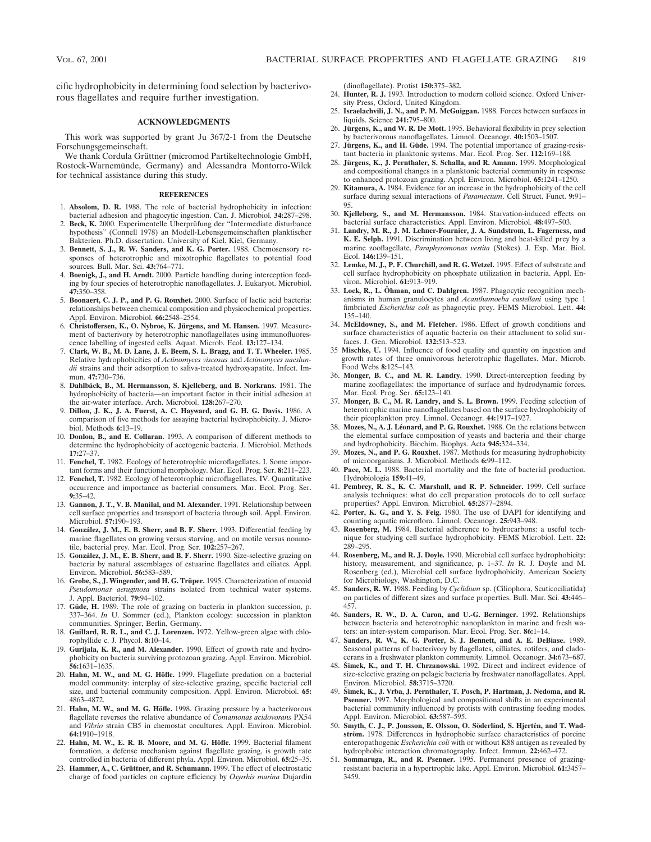cific hydrophobicity in determining food selection by bacterivorous flagellates and require further investigation.

### **ACKNOWLEDGMENTS**

This work was supported by grant Ju 367/2-1 from the Deutsche Forschungsgemeinschaft.

We thank Cordula Grüttner (micromod Partikeltechnologie GmbH, Rostock-Warnemünde, Germany) and Alessandra Montorro-Wilck for technical assistance during this study.

#### **REFERENCES**

- 1. **Absolom, D. R.** 1988. The role of bacterial hydrophobicity in infection: bacterial adhesion and phagocytic ingestion. Can. J. Microbiol. **34:**287–298.
- 2. Beck, K. 2000. Experimentelle Überprüfung der "Intermediate disturbance hypothesis" (Connell 1978) an Modell-Lebensgemeinschaften planktischer Bakterien. Ph.D. dissertation. University of Kiel, Kiel, Germany.
- 3. **Bennett, S. J., R. W. Sanders, and K. G. Porter.** 1988. Chemosensory responses of heterotrophic and mixotrophic flagellates to potential food sources. Bull. Mar. Sci. **43:**764–771.
- 4. **Boenigk, J., and H. Arndt.** 2000. Particle handling during interception feeding by four species of heterotrophic nanoflagellates. J. Eukaryot. Microbiol. **47:**350–358.
- 5. **Boonaert, C. J. P., and P. G. Rouxhet.** 2000. Surface of lactic acid bacteria: relationships between chemical composition and physicochemical properties. Appl. Environ. Microbiol. **66:**2548–2554.
- 6. **Christoffersen, K., O. Nybroe, K. Ju¨rgens, and M. Hansen.** 1997. Measurement of bacterivory by heterotrophic nanoflagellates using immunofluorescence labelling of ingested cells. Aquat. Microb. Ecol. **13:**127–134.
- 7. **Clark, W. B., M. D. Lane, J. E. Beem, S. L. Bragg, and T. T. Wheeler.** 1985. Relative hydrophobicities of *Actinomyces viscosus* and *Actinomyces naeslundii* strains and their adsorption to saliva-treated hydroxyapatite. Infect. Immun. **47:**730–736.
- 8. Dahlbäck, B., M. Hermansson, S. Kjelleberg, and B. Norkrans. 1981. The hydrophobicity of bacteria—an important factor in their initial adhesion at the air-water interface. Arch. Microbiol. **128:**267–270.
- 9. **Dillon, J. K., J. A. Fuerst, A. C. Hayward, and G. H. G. Davis.** 1986. A comparison of five methods for assaying bacterial hydrophobicity. J. Microbiol. Methods **6:**13–19.
- 10. **Donlon, B., and E. Collaran.** 1993. A comparison of different methods to determine the hydrophobicity of acetogenic bacteria. J. Microbiol. Methods **17:**27–37.
- 11. **Fenchel, T.** 1982. Ecology of heterotrophic microflagellates. I. Some important forms and their functional morphology. Mar. Ecol. Prog. Ser. **8:**211–223.
- 12. **Fenchel, T.** 1982. Ecology of heterotrophic microflagellates. IV. Quantitative occurrence and importance as bacterial consumers. Mar. Ecol. Prog. Ser. **9:**35–42.
- 13. **Gannon, J. T., V. B. Manilal, and M. Alexander.** 1991. Relationship between cell surface properties and transport of bacteria through soil. Appl. Environ. Microbiol. **57:**190–193.
- 14. **Gonza´lez, J. M., E. B. Sherr, and B. F. Sherr.** 1993. Differential feeding by marine flagellates on growing versus starving, and on motile versus nonmotile, bacterial prey. Mar. Ecol. Prog. Ser. **102:**257–267.
- 15. **Gonza´lez, J. M., E. B. Sherr, and B. F. Sherr.** 1990. Size-selective grazing on bacteria by natural assemblages of estuarine flagellates and ciliates. Appl. Environ. Microbiol. **56:**583–589.
- 16. Grobe, S., J. Wingender, and H. G. Trüper. 1995. Characterization of mucoid *Pseudomonas aeruginosa* strains isolated from technical water systems. J. Appl. Bacteriol. **79:**94–102.
- 17. Güde, H. 1989. The role of grazing on bacteria in plankton succession, p. 337–364. *In* U. Sommer (ed.), Plankton ecology: succession in plankton communities. Springer, Berlin, Germany.
- 18. **Guillard, R. R. L., and C. J. Lorenzen.** 1972. Yellow-green algae with chlorophyllide c. J. Phycol. **8:**10–14.
- 19. **Gurijala, K. R., and M. Alexander.** 1990. Effect of growth rate and hydrophobicity on bacteria surviving protozoan grazing. Appl. Environ. Microbiol. **56:**1631–1635.
- 20. Hahn, M. W., and M. G. Höfle. 1999. Flagellate predation on a bacterial model community: interplay of size-selective grazing, specific bacterial cell size, and bacterial community composition. Appl. Environ. Microbiol. **65:** 4863–4872.
- 21. **Hahn, M. W., and M. G. Höfle.** 1998. Grazing pressure by a bacterivorous flagellate reverses the relative abundance of *Comamonas acidovorans* PX54 and *Vibrio* strain CB5 in chemostat cocultures. Appl. Environ. Microbiol. **64:**1910–1918.
- 22. Hahn, M. W., E. R. B. Moore, and M. G. Höfle. 1999. Bacterial filament formation, a defense mechanism against flagellate grazing, is growth rate controlled in bacteria of different phyla. Appl. Environ. Microbiol. **65:**25–35.
- 23. Hammer, A., C. Grüttner, and R. Schumann. 1999. The effect of electrostatic charge of food particles on capture efficiency by *Oxyrrhis marina* Dujardin

(dinoflagellate). Protist **150:**375–382.

- 24. **Hunter, R. J.** 1993. Introduction to modern colloid science. Oxford University Press, Oxford, United Kingdom.
- 25. **Israelachvili, J. N., and P. M. McGuiggan.** 1988. Forces between surfaces in liquids. Science **241:**795–800.
- 26. **Jürgens, K., and W. R. De Mott.** 1995. Behavioral flexibility in prey selection by bacterivorous nanoflagellates. Limnol. Oceanogr. **40:**1503–1507.
- 27. **Jürgens, K., and H. Güde.** 1994. The potential importance of grazing-resistant bacteria in planktonic systems. Mar. Ecol. Prog. Ser. **112:**169–188.
- 28. **Ju¨rgens, K., J. Pernthaler, S. Schalla, and R. Amann.** 1999. Morphological and compositional changes in a planktonic bacterial community in response to enhanced protozoan grazing. Appl. Environ. Microbiol. **65:**1241–1250.
- 29. **Kitamura, A.** 1984. Evidence for an increase in the hydrophobicity of the cell surface during sexual interactions of *Paramecium*. Cell Struct. Funct. **9:**91– 95.
- 30. **Kjelleberg, S., and M. Hermansson.** 1984. Starvation-induced effects on bacterial surface characteristics. Appl. Environ. Microbiol. **48:**497–503.
- 31. **Landry, M. R., J. M. Lehner-Fournier, J. A. Sundstrom, L. Fagerness, and K. E. Selph.** 1991. Discrimination between living and heat-killed prey by a marine zooflagellate, *Paraphysomonas vestita* (Stokes). J. Exp. Mar. Biol. Ecol. **146:**139–151.
- 32. **Lemke, M. J., P. F. Churchill, and R. G. Wetzel.** 1995. Effect of substrate and cell surface hydrophobicity on phosphate utilization in bacteria. Appl. Environ. Microbiol. **61:**913–919.
- 33. Lock, R., L. Öhman, and C. Dahlgren. 1987. Phagocytic recognition mechanisms in human granulocytes and *Acanthamoeba castellani* using type 1 fimbriated *Escherichia coli* as phagocytic prey. FEMS Microbiol. Lett. **44:** 135–140.
- 34. **McEldowney, S., and M. Fletcher.** 1986. Effect of growth conditions and surface characteristics of aquatic bacteria on their attachment to solid surfaces. J. Gen. Microbiol. **132:**513–523.
- 35 **Mischke, U.** 1994. Influence of food quality and quantity on ingestion and growth rates of three omnivorous heterotrophic flagellates. Mar. Microb. Food Webs **8:**125–143.
- 36. **Monger, B. C., and M. R. Landry.** 1990. Direct-interception feeding by marine zooflagellates: the importance of surface and hydrodynamic forces. Mar. Ecol. Prog. Ser. **65:**123–140.
- 37. **Monger, B. C., M. R. Landry, and S. L. Brown.** 1999. Feeding selection of heterotrophic marine nanoflagellates based on the surface hydrophobicity of their picoplankton prey. Limnol. Oceanogr. **44:**1917–1927.
- 38. Mozes, N., A. J. Léonard, and P. G. Rouxhet. 1988. On the relations between the elemental surface composition of yeasts and bacteria and their charge and hydrophobicity. Biochim. Biophys. Acta **945:**324–334.
- 39. **Mozes, N., and P. G. Rouxhet.** 1987. Methods for measuring hydrophobicity of microorganisms. J. Microbiol. Methods **6:**99–112.
- 40. **Pace, M. L.** 1988. Bacterial mortality and the fate of bacterial production. Hydrobiologia **159:**41–49.
- 41. **Pembrey, R. S., K. C. Marshall, and R. P. Schneider.** 1999. Cell surface analysis techniques: what do cell preparation protocols do to cell surface properties? Appl. Environ. Microbiol. **65:**2877–2894.
- 42. **Porter, K. G., and Y. S. Feig.** 1980. The use of DAPI for identifying and counting aquatic microflora. Limnol. Oceanogr. **25:**943–948.
- Rosenberg, M. 1984. Bacterial adherence to hydrocarbons: a useful technique for studying cell surface hydrophobicity. FEMS Microbiol. Lett. **22:** 289–295.
- 44. **Rosenberg, M., and R. J. Doyle.** 1990. Microbial cell surface hydrophobicity: history, measurement, and significance, p. 1–37. *In* R. J. Doyle and M. Rosenberg (ed.), Microbial cell surface hydrophobicity. American Society for Microbiology, Washington, D.C.
- 45. **Sanders, R. W.** 1988. Feeding by *Cyclidium* sp. (Ciliophora, Scuticociliatida) on particles of different sizes and surface properties. Bull. Mar. Sci. **43:**446– 457.
- 46. **Sanders, R. W., D. A. Caron, and U.-G. Berninger.** 1992. Relationships between bacteria and heterotrophic nanoplankton in marine and fresh waters: an inter-system comparison. Mar. Ecol. Prog. Ser. **86:**1–14.
- 47. **Sanders, R. W., K. G. Porter, S. J. Bennett, and A. E. DeBiase.** 1989. Seasonal patterns of bacterivory by flagellates, cilliates, rotifers, and cladocerans in a freshwater plankton community. Limnol. Oceanogr. **34:**673–687.
- 48. Šimek, K., and T. H. Chrzanowski. 1992. Direct and indirect evidence of size-selective grazing on pelagic bacteria by freshwater nanoflagellates. Appl. Environ. Microbiol. **58:**3715–3720.
- 49. Šimek, K., J. Vrba, J. Pernthaler, T. Posch, P. Hartman, J. Nedoma, and R. **Psenner.** 1997. Morphological and compositional shifts in an experimental bacterial community influenced by protists with contrasting feeding modes. Appl. Environ. Microbiol. **63:**587–595.
- 50. Smyth, C. J., P. Jonsson, E. Olsson, O. Söderlind, S. Hjertén, and T. Wadström. 1978. Differences in hydrophobic surface characteristics of porcine enteropathogenic *Escherichia coli* with or without K88 antigen as revealed by hydrophobic interaction chromatography. Infect. Immun. **22:**462–472.
- 51. **Sommaruga, R., and R. Psenner.** 1995. Permanent presence of grazingresistant bacteria in a hypertrophic lake. Appl. Environ. Microbiol. **61:**3457– 3459.